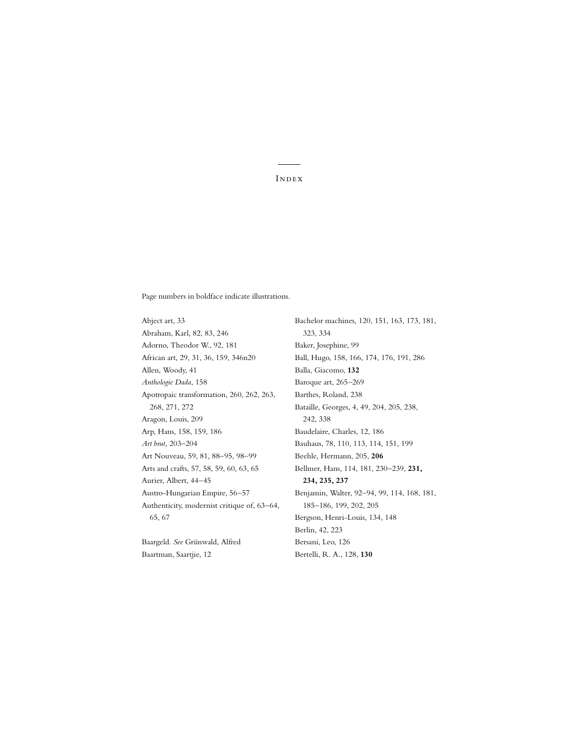[Page numbers in boldface indicate illustrations.](#page--1-0)

Abject art, 33 Abraham, Karl, 82, 83, 246 Adorno, Theodor W., 92, 181 African art, 29, 31, 36, 159, 346n20 Allen, Woody, 41 *Anthologie Dada,* 158 Apotropaic transformation, 260, 262, 263, 268, 271, 272 Aragon, Louis, 209 Arp, Hans, 158, 159, 186 *Art brut,* 203–204 Art Nouveau, 59, 81, 88–95, 98–99 Arts and crafts, 57, 58, 59, 60, 63, 65 Aurier, Albert, 44–45 Austro-Hungarian Empire, 56–57 Authenticity, modernist critique of, 63–64, 65, 67

Baargeld. *See* Grünwald, Alfred Baartman, Saartjie, 12

Bachelor machines, 120, 151, 163, 173, 181, 323, 334 Baker, Josephine, 99 Ball, Hugo, 158, 166, 174, 176, 191, 286 Balla, Giacomo, **132** Baroque art, 265–269 Barthes, Roland, 238 Bataille, Georges, 4, 49, 204, 205, 238, 242, 338 Baudelaire, Charles, 12, 186 Bauhaus, 78, 110, 113, 114, 151, 199 Beehle, Hermann, 205, **206** Bellmer, Hans, 114, 181, 230–239, **231, 234, 235, 237** Benjamin, Walter, 92–94, 99, 114, 168, 181, 185–186, 199, 202, 205 Bergson, Henri-Louis, 134, 148 Berlin, 42, 223 Bersani, Leo, 126 Bertelli, R. A., 128, **130**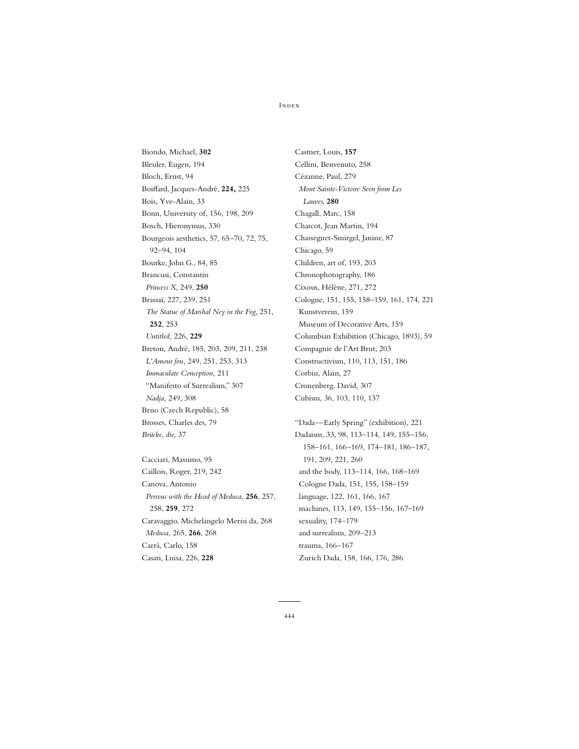Biondo, Michael, **302** Bleuler, Eugen, 194 Bloch, Ernst, 94 Boiffard, Jacques-André, **224,** 225 Bois, Yve-Alain, 33 Bonn, University of, 156, 198, 209 Bosch, Hieronymus, 330 Bourgeois aesthetics, 57, 65–70, 72, 75, 92–94, 104 Bourke, John G., 84, 85 Brancusi, Constantin *Princess X,* 249, **250** Brassaï, 227, 239, 251 *The Statue of Marshal Ney in the Fog,* 251, **252**, 253 *Untitled,* 226, **229** Breton, André, 185, 203, 209, 211, 238 *L'Amour fou,* 249, 251, 253, 313 *Immaculate Conception,* 211 "Manifesto of Surrealism," 307 *Nadja,* 249, 308 Brno (Czech Republic), 58 Brosses, Charles des, 79 *Brücke, die,* 37

Cacciari, Massimo, 95 Caillois, Roger, 219, 242 Canova, Antonio *Perseus with the Head of Medusa,* **256**, 257, 258, **259**, 272 Caravaggio, Michelangelo Merisi da, 268 *Medusa,* 265, **266**, 268 Carrà, Carlo, 158 Casati, Luisa, 226, **228**

Castner, Louis, **157** Cellini, Benvenuto, 258 Cézanne, Paul, 279 *Mont Sainte-Victoire Seen from Les Lauves,* **280** Chagall, Marc, 158 Charcot, Jean Martin, 194 Chasseguet-Smirgel, Janine, 87 Chicago, 59 Children, art of, 193, 203 Chronophotography, 186 Cixous, Hélène, 271, 272 Cologne, 151, 155, 158–159, 161, 174, 221 Kunstverein, 159 Museum of Decorative Arts, 159 Columbian Exhibition (Chicago, 1893), 59 Compagnie de l'Art Brut, 203 Constructivism, 110, 113, 151, 186 Corbin, Alain, 27 Cronenberg, David, 307 Cubism, 36, 103, 110, 137

"Dada—Early Spring" (exhibition), 221 Dadaism, 33, 98, 113–114, 149, 155–156, 158–161, 166–169, 174–181, 186–187, 191, 209, 221, 260 and the body, 113–114, 166, 168–169 Cologne Dada, 151, 155, 158–159 language, 122, 161, 166, 167 machines, 113, 149, 155–156, 167–169 sexuality, 174–179 and surrealism, 209–213 trauma, 166–167 Zurich Dada, 158, 166, 176, 286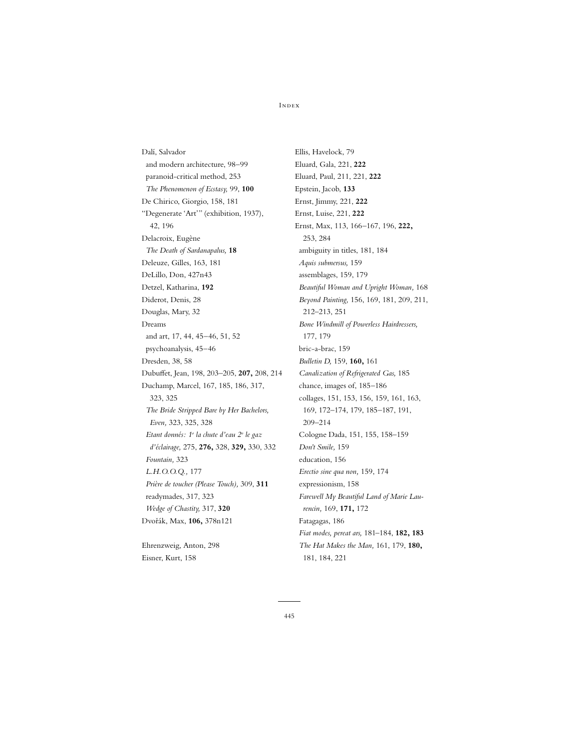Dalí, Salvador and modern architecture, 98–99 paranoid-critical method, 253 *The Phenomenon of Ecstasy,* 99, **100** De Chirico, Giorgio, 158, 181 "Degenerate 'Art'" (exhibition, 1937), 42, 196 Delacroix, Eugène *The Death of Sardanapalus,* **18** Deleuze, Gilles, 163, 181 DeLillo, Don, 427n43 Detzel, Katharina, **192** Diderot, Denis, 28 Douglas, Mary, 32 Dreams and art, 17, 44, 45–46, 51, 52 psychoanalysis, 45–46 Dresden, 38, 58 Dubuffet, Jean, 198, 203–205, **207,** 208, 214 Duchamp, Marcel, 167, 185, 186, 317, 323, 325 *The Bride Stripped Bare by Her Bachelors, Even,* 323, 325, 328 *Etant donnés: 1o la chute d'eau 2o le gaz d'éclairage,* 275, **276,** 328, **329,** 330, 332 *Fountain,* 323 *L.H.O.O.Q.,* 177 *Prière de toucher (Please Touch),* 309, **311** readymades, 317, 323 *Wedge of Chastity,* 317, **320** Dvorˇák, Max, **106,** 378n121

Ehrenzweig, Anton, 298 Eisner, Kurt, 158

Ellis, Havelock, 79 Eluard, Gala, 221, **222** Eluard, Paul, 211, 221, **222** Epstein, Jacob, **133** Ernst, Jimmy, 221, **222** Ernst, Luise, 221, **222** Ernst, Max, 113, 166–167, 196, **222,** 253, 284 ambiguity in titles, 181, 184 *Aquis submersus,* 159 assemblages, 159, 179 *Beautiful Woman and Upright Woman,* 168 *Beyond Painting,* 156, 169, 181, 209, 211, 212–213, 251 *Bone Windmill of Powerless Hairdressers,* 177, 179 bric-a-brac, 159 *Bulletin D,* 159, **160,** 161 *Canalization of Refrigerated Gas,* 185 chance, images of, 185–186 collages, 151, 153, 156, 159, 161, 163, 169, 172–174, 179, 185–187, 191, 209–214 Cologne Dada, 151, 155, 158–159 *Don't Smile,* 159 education, 156 *Erectio sine qua non,* 159, 174 expressionism, 158 *Farewell My Beautiful Land of Marie Laurencin,* 169, **171,** 172 Fatagagas, 186 *Fiat modes, pereat ars,* 181–184, **182, 183** *The Hat Makes the Man,* 161, 179, **180,** 181, 184, 221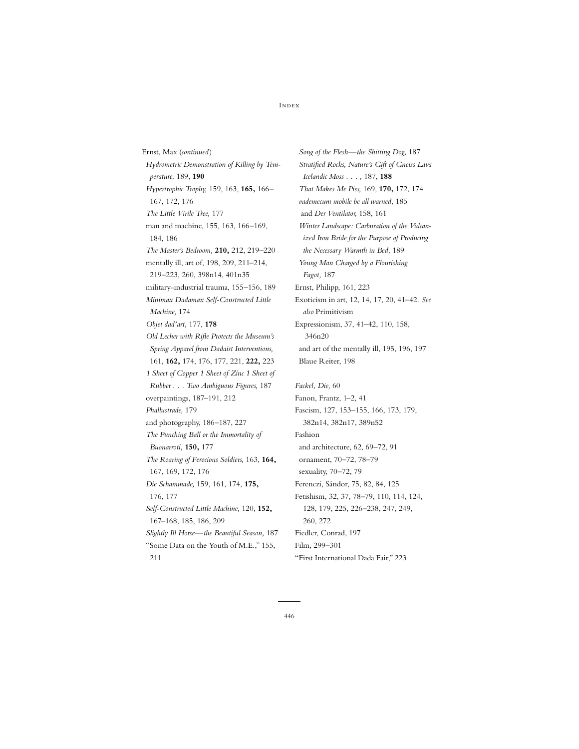Ernst, Max (*continued* ) *Hydrometric Demonstration of Killing by Temperature,* 189, **190** *Hypertrophic Trophy,* 159, 163, **165,** 166– 167, 172, 176 *The Little Virile Tree,* 177 man and machine, 155, 163, 166–169, 184, 186 *The Master's Bedroom,* **210,** 212, 219–220 mentally ill, art of, 198, 209, 211–214, 219–223, 260, 398n14, 401n35 military-industrial trauma, 155–156, 189 *Minimax Dadamax Self-Constructed Little Machine,* 174 *Objet dad'art,* 177, **178** *Old Lecher with Rifle Protects the Museum's Spring Apparel from Dadaist Interventions,* 161, **162,** 174, 176, 177, 221, **222,** 223 *1 Sheet of Copper 1 Sheet of Zinc 1 Sheet of Rubber . . . Two Ambiguous Figures,* 187 overpaintings, 187–191, 212 *Phallustrade,* 179 and photography, 186–187, 227 *The Punching Ball or the Immortality of Buonarroti,* **150,** 177 *The Roaring of Ferocious Soldiers,* 163, **164,** 167, 169, 172, 176 *Die Schammade,* 159, 161, 174, **175,** 176, 177 *Self-Constructed Little Machine,* 120, **152,** 167–168, 185, 186, 209 *Slightly Ill Horse—the Beautiful Season,* 187 "Some Data on the Youth of M.E.," 155, 211

*Song of the Flesh—the Shitting Dog,* 187 *Stratified Rocks, Nature's Gift of Gneiss Lava Icelandic Moss . . . ,* 187, **188** *That Makes Me Piss,* 169, **170,** 172, 174 *vademecum mobile be all warned,* 185 and *Der Ventilator,* 158, 161 *Winter Landscape: Carburation of the Vulcanized Iron Bride for the Purpose of Producing the Necessary Warmth in Bed,* 189 *Young Man Charged by a Flourishing Fagot,* 187 Ernst, Philipp, 161, 223 Exoticism in art, 12, 14, 17, 20, 41–42. *See also* Primitivism Expressionism, 37, 41–42, 110, 158, 346n20 and art of the mentally ill, 195, 196, 197 Blaue Reiter, 198

*Fackel, Die,* 60 Fanon, Frantz, 1–2, 41 Fascism, 127, 153–155, 166, 173, 179, 382n14, 382n17, 389n52 Fashion and architecture, 62, 69–72, 91 ornament, 70–72, 78–79 sexuality, 70–72, 79 Ferenczi, Sándor, 75, 82, 84, 125 Fetishism, 32, 37, 78–79, 110, 114, 124, 128, 179, 225, 226–238, 247, 249, 260, 272 Fiedler, Conrad, 197 Film, 299–301 "First International Dada Fair," 223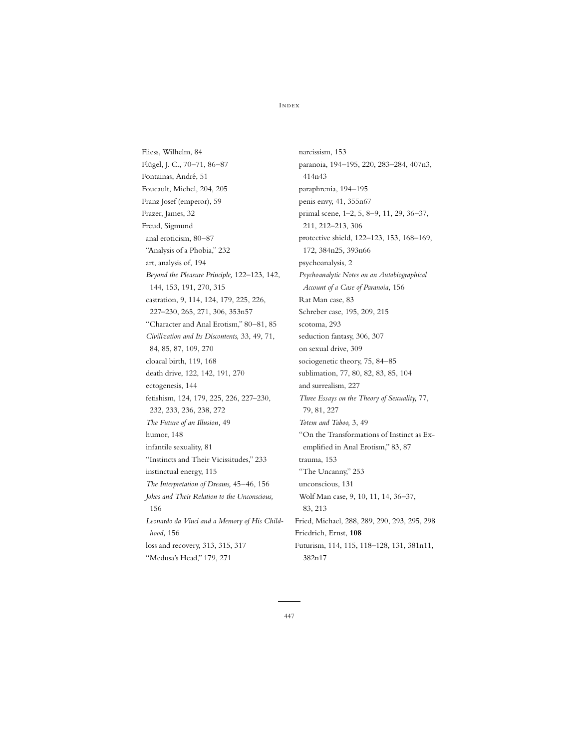Fliess, Wilhelm, 84 Flügel, J. C., 70–71, 86–87 Fontainas, André, 51 Foucault, Michel, 204, 205 Franz Josef (emperor), 59 Frazer, James, 32 Freud, Sigmund anal eroticism, 80–87 "Analysis of a Phobia," 232 art, analysis of, 194 *Beyond the Pleasure Principle,* 122–123, 142, 144, 153, 191, 270, 315 castration, 9, 114, 124, 179, 225, 226, 227–230, 265, 271, 306, 353n57 "Character and Anal Erotism," 80–81, 85 *Civilization and Its Discontents,* 33, 49, 71, 84, 85, 87, 109, 270 cloacal birth, 119, 168 death drive, 122, 142, 191, 270 ectogenesis, 144 fetishism, 124, 179, 225, 226, 227–230, 232, 233, 236, 238, 272 *The Future of an Illusion,* 49 humor, 148 infantile sexuality, 81 "Instincts and Their Vicissitudes," 233 instinctual energy, 115 *The Interpretation of Dreams,* 45–46, 156 *Jokes and Their Relation to the Unconscious,* 156 *Leonardo da Vinci and a Memory of His Childhood,* 156 loss and recovery, 313, 315, 317 "Medusa's Head," 179, 271

narcissism, 153 paranoia, 194–195, 220, 283–284, 407n3, 414n43 paraphrenia, 194–195 penis envy, 41, 355n67 primal scene, 1–2, 5, 8–9, 11, 29, 36–37, 211, 212–213, 306 protective shield, 122–123, 153, 168–169, 172, 384n25, 393n66 psychoanalysis, 2 *Psychoanalytic Notes on an Autobiographical Account of a Case of Paranoia,* 156 Rat Man case, 83 Schreber case, 195, 209, 215 scotoma, 293 seduction fantasy, 306, 307 on sexual drive, 309 sociogenetic theory, 75, 84–85 sublimation, 77, 80, 82, 83, 85, 104 and surrealism, 227 *Three Essays on the Theory of Sexuality,* 77, 79, 81, 227 *Totem and Taboo,* 3, 49 "On the Transformations of Instinct as Exemplified in Anal Erotism," 83, 87 trauma, 153 "The Uncanny," 253 unconscious, 131 Wolf Man case, 9, 10, 11, 14, 36–37, 83, 213 Fried, Michael, 288, 289, 290, 293, 295, 298 Friedrich, Ernst, **108** Futurism, 114, 115, 118–128, 131, 381n11, 382n17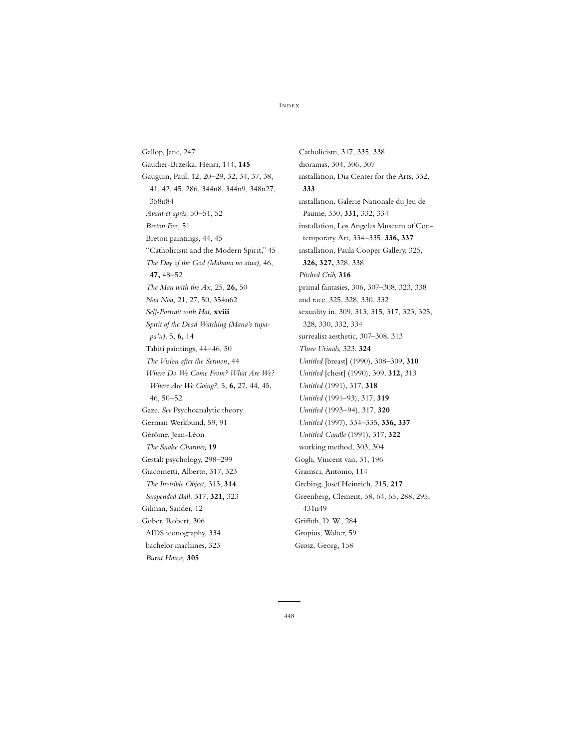Gallop, Jane, 247 Gaudier-Brzeska, Henri, 144, **145** Gauguin, Paul, 12, 20–29, 32, 34, 37, 38, 41, 42, 45, 286, 344n8, 344n9, 348n27, 358n84 *Avant et après,* 50–51, 52 *Breton Eve,* 51 Breton paintings, 44, 45 "Catholicism and the Modern Spirit," 45 *The Day of the God (Mahana no atua),* 46, **47,** 48–52 *The Man with the Ax,* 25, **26,** 50 *Noa Noa,* 21, 27, 50, 354n62 *Self-Portrait with Hat,* **xviii** *Spirit of the Dead Watching (Mana'o tupapa'u),* 5, **6,** 14 Tahiti paintings, 44–46, 50 *The Vision after the Sermon,* 44 *Where Do We Come From? What Are We? Where Are We Going?,* 5, **6,** 27, 44, 45, 46, 50–52 Gaze. *See* Psychoanalytic theory German Werkbund, 59, 91 Gérôme, Jean-Léon *The Snake Charmer,* **19** Gestalt psychology, 298–299 Giacometti, Alberto, 317, 323 *The Invisible Object,* 313, **314** *Suspended Ball,* 317, **321,** 323 Gilman, Sander, 12 Gober, Robert, 306 AIDS iconography, 334 bachelor machines, 323 *Burnt House,* **305**

Catholicism, 317, 335, 338 dioramas, 304, 306, 307 installation, Dia Center for the Arts, 332, **333** installation, Galerie Nationale du Jeu de Paume, 330, **331,** 332, 334 installation, Los Angeles Museum of Contemporary Art, 334–335, **336, 337** installation, Paula Cooper Gallery, 325, **326, 327,** 328, 338 *Pitched Crib,* **316** primal fantasies, 306, 307–308, 323, 338 and race, 325, 328, 330, 332 sexuality in, 309, 313, 315, 317, 323, 325, 328, 330, 332, 334 surrealist aesthetic, 307–308, 313 *Three Urinals,* 323, **324** *Untitled* [breast] (1990), 308–309, **310** *Untitled* [chest] (1990), 309, **312,** 313 *Untitled* (1991), 317, **318** *Untitled* (1991–93), 317, **319** *Untitled* (1993–94), 317, **320** *Untitled* (1997), 334–335, **336, 337** *Untitled Candle* (1991), 317, **322** working method, 303, 304 Gogh, Vincent van, 31, 196 Gramsci, Antonio, 114 Grebing, Josef Heinrich, 215, **217** Greenberg, Clement, 58, 64, 65, 288, 295, 431n49 Griffith, D. W., 284 Gropius, Walter, 59 Grosz, Georg, 158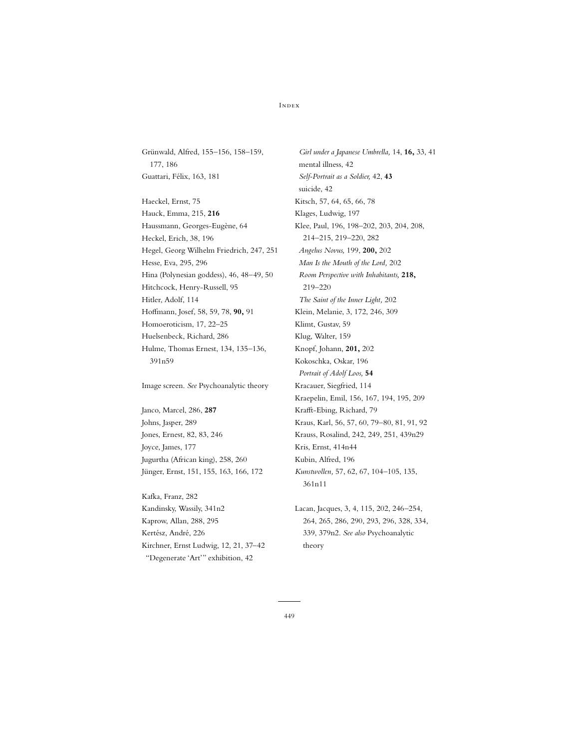Grünwald, Alfred, 155–156, 158–159, 177, 186 Guattari, Félix, 163, 181

Haeckel, Ernst, 75 Hauck, Emma, 215, **216** Haussmann, Georges-Eugène, 64 Heckel, Erich, 38, 196 Hegel, Georg Wilhelm Friedrich, 247, 251 Hesse, Eva, 295, 296 Hina (Polynesian goddess), 46, 48–49, 50 Hitchcock, Henry-Russell, 95 Hitler, Adolf, 114 Hoffmann, Josef, 58, 59, 78, **90,** 91 Homoeroticism, 17, 22–25 Huelsenbeck, Richard, 286 Hulme, Thomas Ernest, 134, 135–136, 391n59

Image screen. *See* Psychoanalytic theory

Janco, Marcel, 286, **287** Johns, Jasper, 289 Jones, Ernest, 82, 83, 246 Joyce, James, 177 Jugurtha (African king), 258, 260 Jünger, Ernst, 151, 155, 163, 166, 172

Kafka, Franz, 282 Kandinsky, Wassily, 341n2 Kaprow, Allan, 288, 295 Kertész, André, 226 Kirchner, Ernst Ludwig, 12, 21, 37–42 "Degenerate 'Art'" exhibition, 42

*Girl under a Japanese Umbrella,* 14, **16,** 33, 41 mental illness, 42 *Self-Portrait as a Soldier,* 42, **43** suicide, 42 Kitsch, 57, 64, 65, 66, 78 Klages, Ludwig, 197 Klee, Paul, 196, 198–202, 203, 204, 208, 214–215, 219–220, 282 *Angelus Novus,* 199, **200,** 202 *Man Is the Mouth of the Lord,* 202 *Room Perspective with Inhabitants,* **218,** 219–220 *The Saint of the Inner Light,* 202 Klein, Melanie, 3, 172, 246, 309 Klimt, Gustav, 59 Klug, Walter, 159 Knopf, Johann, **201,** 202 Kokoschka, Oskar, 196 *Portrait of Adolf Loos,* **54** Kracauer, Siegfried, 114 Kraepelin, Emil, 156, 167, 194, 195, 209 Krafft-Ebing, Richard, 79 Kraus, Karl, 56, 57, 60, 79–80, 81, 91, 92 Krauss, Rosalind, 242, 249, 251, 439n29 Kris, Ernst, 414n44 Kubin, Alfred, 196 *Kunstwollen,* 57, 62, 67, 104–105, 135, 361n11

Lacan, Jacques, 3, 4, 115, 202, 246–254, 264, 265, 286, 290, 293, 296, 328, 334, 339, 379n2. *See also* Psychoanalytic theory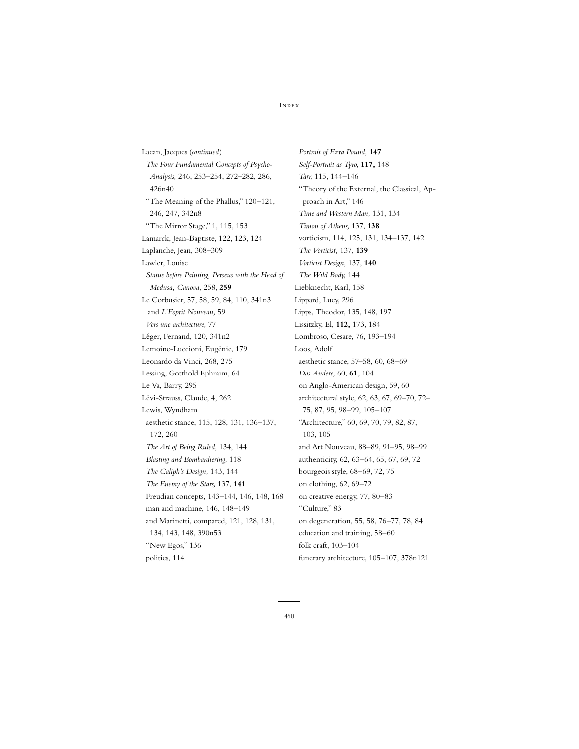Lacan, Jacques (*continued*) *The Four Fundamental Concepts of Psycho-Analysis,* 246, 253–254, 272–282, 286, 426n40 "The Meaning of the Phallus," 120–121, 246, 247, 342n8 "The Mirror Stage," 1, 115, 153 Lamarck, Jean-Baptiste, 122, 123, 124 Laplanche, Jean, 308–309 Lawler, Louise *Statue before Painting, Perseus with the Head of Medusa, Canova,* 258, **259** Le Corbusier, 57, 58, 59, 84, 110, 341n3 and *L'Esprit Nouveau,* 59 *Vers une architecture,* 77 Léger, Fernand, 120, 341n2 Lemoine-Luccioni, Eugénie, 179 Leonardo da Vinci, 268, 275 Lessing, Gotthold Ephraim, 64 Le Va, Barry, 295 Lévi-Strauss, Claude, 4, 262 Lewis, Wyndham aesthetic stance, 115, 128, 131, 136–137, 172, 260 *The Art of Being Ruled,* 134, 144 *Blasting and Bombardiering,* 118 *The Caliph's Design,* 143, 144 *The Enemy of the Stars,* 137, **141** Freudian concepts, 143–144, 146, 148, 168 man and machine, 146, 148–149 and Marinetti, compared, 121, 128, 131, 134, 143, 148, 390n53 "New Egos," 136 politics, 114

*Portrait of Ezra Pound,* **147** *Self-Portrait as Tyro,* **117,** 148 *Tarr,* 115, 144–146 "Theory of the External, the Classical, Approach in Art," 146 *Time and Western Man,* 131, 134 *Timon of Athens,* 137, **138** vorticism, 114, 125, 131, 134–137, 142 *The Vorticist,* 137, **139** *Vorticist Design,* 137, **140** *The Wild Body,* 144 Liebknecht, Karl, 158 Lippard, Lucy, 296 Lipps, Theodor, 135, 148, 197 Lissitzky, El, **112,** 173, 184 Lombroso, Cesare, 76, 193–194 Loos, Adolf aesthetic stance, 57–58, 60, 68–69 *Das Andere,* 60, **61,** 104 on Anglo-American design, 59, 60 architectural style, 62, 63, 67, 69–70, 72– 75, 87, 95, 98–99, 105–107 "Architecture," 60, 69, 70, 79, 82, 87, 103, 105 and Art Nouveau, 88–89, 91–95, 98–99 authenticity, 62, 63–64, 65, 67, 69, 72 bourgeois style, 68–69, 72, 75 on clothing, 62, 69–72 on creative energy, 77, 80–83 "Culture," 83 on degeneration, 55, 58, 76–77, 78, 84 education and training, 58–60 folk craft, 103–104 funerary architecture, 105–107, 378n121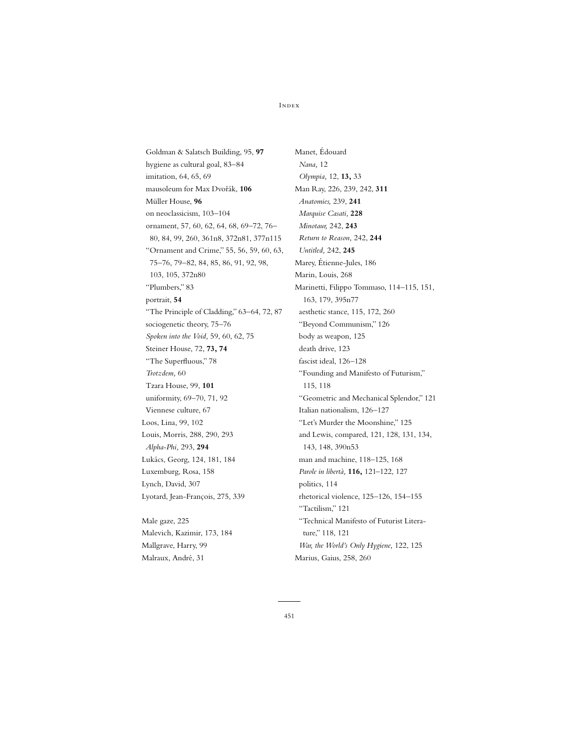Goldman & Salatsch Building, 95, **97** hygiene as cultural goal, 83–84 imitation, 64, 65, 69 mausoleum for Max Dvořák, 106 Müller House, **96** on neoclassicism, 103–104 ornament, 57, 60, 62, 64, 68, 69–72, 76– 80, 84, 99, 260, 361n8, 372n81, 377n115 "Ornament and Crime," 55, 56, 59, 60, 63, 75–76, 79–82, 84, 85, 86, 91, 92, 98, 103, 105, 372n80 "Plumbers," 83 portrait, **54** "The Principle of Cladding," 63–64, 72, 87 sociogenetic theory, 75–76 *Spoken into the Void,* 59, 60, 62, 75 Steiner House, 72, **73, 74** "The Superfluous," 78 *Trotzdem,* 60 Tzara House, 99, **101** uniformity, 69–70, 71, 92 Viennese culture, 67 Loos, Lina, 99, 102 Louis, Morris, 288, 290, 293 *Alpha-Phi,* 293, **294** Lukács, Georg, 124, 181, 184 Luxemburg, Rosa, 158 Lynch, David, 307 Lyotard, Jean-François, 275, 339

Male gaze, 225 Malevich, Kazimir, 173, 184 Mallgrave, Harry, 99 Malraux, André, 31

Manet, Édouard *Nana,* 12 *Olympia,* 12, **13,** 33 Man Ray, 226, 239, 242, **311** *Anatomies,* 239, **241** *Marquise Casati,* **228** *Minotaur,* 242, **243** *Return to Reason,* 242, **244** *Untitled,* 242, **245** Marey, Étienne-Jules, 186 Marin, Louis, 268 Marinetti, Filippo Tommaso, 114–115, 151, 163, 179, 395n77 aesthetic stance, 115, 172, 260 "Beyond Communism," 126 body as weapon, 125 death drive, 123 fascist ideal, 126–128 "Founding and Manifesto of Futurism," 115, 118 "Geometric and Mechanical Splendor," 121 Italian nationalism, 126–127 "Let's Murder the Moonshine," 125 and Lewis, compared, 121, 128, 131, 134, 143, 148, 390n53 man and machine, 118–125, 168 *Parole in libertà,* **116,** 121–122, 127 politics, 114 rhetorical violence, 125–126, 154–155 "Tactilism," 121 "Technical Manifesto of Futurist Literature," 118, 121 *War, the World's Only Hygiene,* 122, 125

Marius, Gaius, 258, 260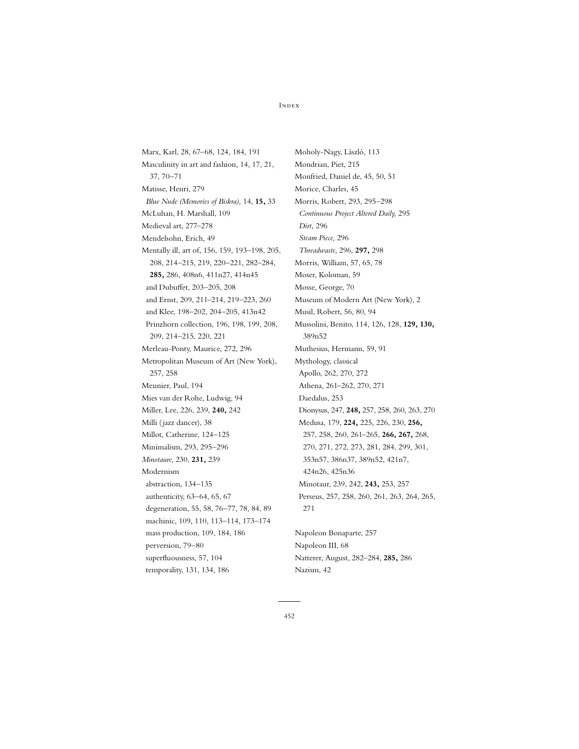Marx, Karl, 28, 67–68, 124, 184, 191 Masculinity in art and fashion, 14, 17, 21, 37, 70–71 Matisse, Henri, 279 *Blue Nude (Memories of Biskra),* 14, **15,** 33 McLuhan, H. Marshall, 109 Medieval art, 277–278 Mendelsohn, Erich, 49 Mentally ill, art of, 156, 159, 193–198, 205, 208, 214–215, 219, 220–221, 282–284, **285,** 286, 408n6, 411n27, 414n45 and Dubuffet, 203–205, 208 and Ernst, 209, 211–214, 219–223, 260 and Klee, 198–202, 204–205, 413n42 Prinzhorn collection, 196, 198, 199, 208, 209, 214–215, 220, 221 Merleau-Ponty, Maurice, 272, 296 Metropolitan Museum of Art (New York), 257, 258 Meunier, Paul, 194 Mies van der Rohe, Ludwig, 94 Miller, Lee, 226, 239, **240,** 242 Milli (jazz dancer), 38 Millot, Catherine, 124–125 Minimalism, 293, 295–296 *Minotaure,* 230, **231,** 239 Modernism abstraction, 134–135 authenticity, 63–64, 65, 67 degeneration, 55, 58, 76–77, 78, 84, 89 machinic, 109, 110, 113–114, 173–174 mass production, 109, 184, 186 perversion, 79–80 superfluousness, 57, 104 temporality, 131, 134, 186

Moholy-Nagy, László, 113 Mondrian, Piet, 215 Monfried, Daniel de, 45, 50, 51 Morice, Charles, 45 Morris, Robert, 293, 295–298 *Continuous Project Altered Daily,* 295 *Dirt,* 296 *Steam Piece,* 296 *Threadwaste,* 296, **297,** 298 Morris, William, 57, 65, 78 Moser, Koloman, 59 Mosse, George, 70 Museum of Modern Art (New York), 2 Musil, Robert, 56, 80, 94 Mussolini, Benito, 114, 126, 128, **129, 130,** 389n52 Muthesius, Hermann, 59, 91 Mythology, classical Apollo, 262, 270, 272 Athena, 261–262, 270, 271 Daedalus, 253 Dionysus, 247, **248,** 257, 258, 260, 263, 270 Medusa, 179, **224,** 225, 226, 230, **256,** 257, 258, 260, 261–265, **266, 267,** 268, 270, 271, 272, 273, 281, 284, 299, 301, 353n57, 386n37, 389n52, 421n7, 424n26, 425n36 Minotaur, 239, 242, **243,** 253, 257 Perseus, 257, 258, 260, 261, 263, 264, 265, 271

Napoleon Bonaparte, 257 Napoleon III, 68 Natterer, August, 282–284, **285,** 286 Nazism, 42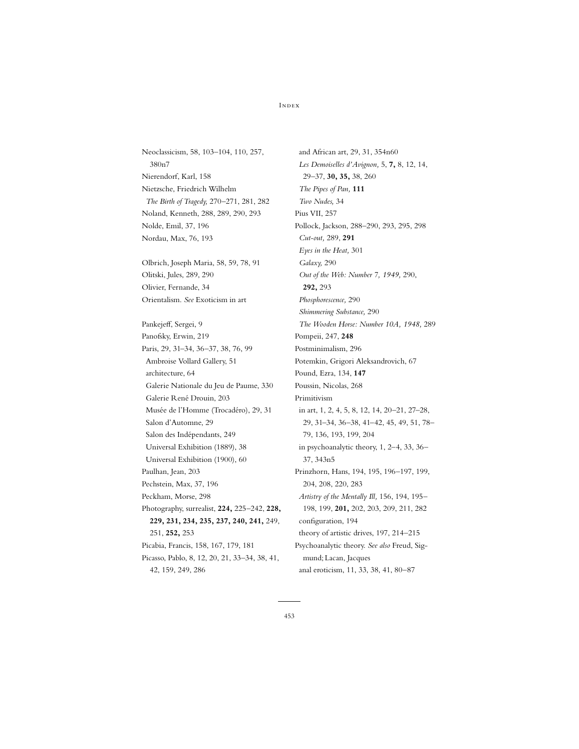Neoclassicism, 58, 103–104, 110, 257, 380n7 Nierendorf, Karl, 158 Nietzsche, Friedrich Wilhelm *The Birth of Tragedy,* 270–271, 281, 282 Noland, Kenneth, 288, 289, 290, 293 Nolde, Emil, 37, 196 Nordau, Max, 76, 193

Olbrich, Joseph Maria, 58, 59, 78, 91 Olitski, Jules, 289, 290 Olivier, Fernande, 34 Orientalism. *See* Exoticism in art

Pankejeff, Sergei, 9 Panofsky, Erwin, 219 Paris, 29, 31–34, 36–37, 38, 76, 99 Ambroise Vollard Gallery, 51 architecture, 64 Galerie Nationale du Jeu de Paume, 330 Galerie René Drouin, 203 Musée de l'Homme (Trocadéro), 29, 31 Salon d'Automne, 29 Salon des Indépendants, 249 Universal Exhibition (1889), 38 Universal Exhibition (1900), 60 Paulhan, Jean, 203 Pechstein, Max, 37, 196 Peckham, Morse, 298 Photography, surrealist, **224,** 225–242, **228, 229, 231, 234, 235, 237, 240, 241,** 249, 251, **252,** 253 Picabia, Francis, 158, 167, 179, 181 Picasso, Pablo, 8, 12, 20, 21, 33–34, 38, 41, 42, 159, 249, 286

and African art, 29, 31, 354n60 *Les Demoiselles d'Avignon,* 5, **7,** 8, 12, 14, 29–37, **30, 35,** 38, 260 *The Pipes of Pan,* **111** *Two Nudes,* 34 Pius VII, 257 Pollock, Jackson, 288–290, 293, 295, 298 *Cut-out,* 289, **291** *Eyes in the Heat,* 301 *Galaxy,* 290 *Out of the Web: Number 7, 1949,* 290, **292,** 293 *Phosphorescence,* 290 *Shimmering Substance,* 290 *The Wooden Horse: Number 10A, 1948,* 289 Pompeii, 247, **248** Postminimalism, 296 Potemkin, Grigori Aleksandrovich, 67 Pound, Ezra, 134, **147** Poussin, Nicolas, 268 Primitivism in art, 1, 2, 4, 5, 8, 12, 14, 20–21, 27–28, 29, 31–34, 36–38, 41–42, 45, 49, 51, 78– 79, 136, 193, 199, 204 in psychoanalytic theory, 1, 2–4, 33, 36– 37, 343n5 Prinzhorn, Hans, 194, 195, 196–197, 199, 204, 208, 220, 283 *Artistry of the Mentally Ill,* 156, 194, 195– 198, 199, **201,** 202, 203, 209, 211, 282 configuration, 194 theory of artistic drives, 197, 214–215 Psychoanalytic theory. *See also* Freud, Sigmund; Lacan, Jacques anal eroticism, 11, 33, 38, 41, 80–87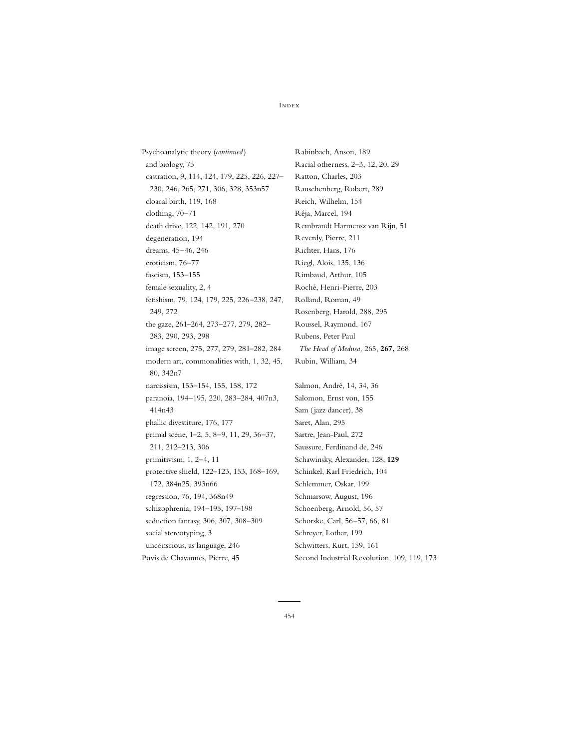Psychoanalytic theory (*continued*) and biology, 75 castration, 9, 114, 124, 179, 225, 226, 227– 230, 246, 265, 271, 306, 328, 353n57 cloacal birth, 119, 168 clothing, 70–71 death drive, 122, 142, 191, 270 degeneration, 194 dreams, 45–46, 246 eroticism, 76–77 fascism, 153–155 female sexuality, 2, 4 fetishism, 79, 124, 179, 225, 226–238, 247, 249, 272 the gaze, 261–264, 273–277, 279, 282– 283, 290, 293, 298 image screen, 275, 277, 279, 281–282, 284 modern art, commonalities with, 1, 32, 45, 80, 342n7 narcissism, 153–154, 155, 158, 172 paranoia, 194–195, 220, 283–284, 407n3, 414n43 phallic divestiture, 176, 177 primal scene, 1–2, 5, 8–9, 11, 29, 36–37, 211, 212–213, 306 primitivism, 1, 2–4, 11 protective shield, 122–123, 153, 168–169, 172, 384n25, 393n66 regression, 76, 194, 368n49 schizophrenia, 194–195, 197–198 seduction fantasy, 306, 307, 308–309 social stereotyping, 3 unconscious, as language, 246 Puvis de Chavannes, Pierre, 45

Rabinbach, Anson, 189 Racial otherness, 2–3, 12, 20, 29 Ratton, Charles, 203 Rauschenberg, Robert, 289 Reich, Wilhelm, 154 Réja, Marcel, 194 Rembrandt Harmensz van Rijn, 51 Reverdy, Pierre, 211 Richter, Hans, 176 Riegl, Alois, 135, 136 Rimbaud, Arthur, 105 Roché, Henri-Pierre, 203 Rolland, Roman, 49 Rosenberg, Harold, 288, 295 Roussel, Raymond, 167 Rubens, Peter Paul *The Head of Medusa,* 265, **267,** 268 Rubin, William, 34

Salmon, André, 14, 34, 36 Salomon, Ernst von, 155 Sam (jazz dancer), 38 Saret, Alan, 295 Sartre, Jean-Paul, 272 Saussure, Ferdinand de, 246 Schawinsky, Alexander, 128, **129** Schinkel, Karl Friedrich, 104 Schlemmer, Oskar, 199 Schmarsow, August, 196 Schoenberg, Arnold, 56, 57 Schorske, Carl, 56–57, 66, 81 Schreyer, Lothar, 199 Schwitters, Kurt, 159, 161 Second Industrial Revolution, 109, 119, 173